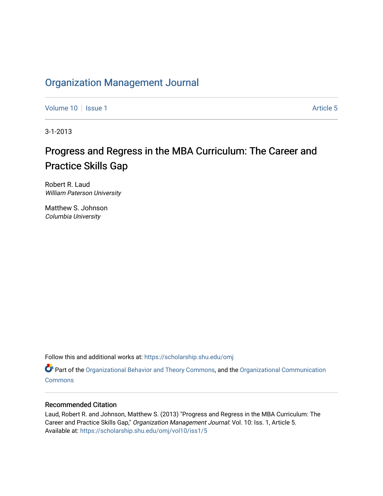# [Organization Management Journal](https://scholarship.shu.edu/omj)

[Volume 10](https://scholarship.shu.edu/omj/vol10) | [Issue 1](https://scholarship.shu.edu/omj/vol10/iss1) Article 5

3-1-2013

# Progress and Regress in the MBA Curriculum: The Career and Practice Skills Gap

Robert R. Laud William Paterson University

Matthew S. Johnson Columbia University

Follow this and additional works at: [https://scholarship.shu.edu/omj](https://scholarship.shu.edu/omj?utm_source=scholarship.shu.edu%2Fomj%2Fvol10%2Fiss1%2F5&utm_medium=PDF&utm_campaign=PDFCoverPages) 

Part of the [Organizational Behavior and Theory Commons,](http://network.bepress.com/hgg/discipline/639?utm_source=scholarship.shu.edu%2Fomj%2Fvol10%2Fiss1%2F5&utm_medium=PDF&utm_campaign=PDFCoverPages) and the [Organizational Communication](http://network.bepress.com/hgg/discipline/335?utm_source=scholarship.shu.edu%2Fomj%2Fvol10%2Fiss1%2F5&utm_medium=PDF&utm_campaign=PDFCoverPages) **[Commons](http://network.bepress.com/hgg/discipline/335?utm_source=scholarship.shu.edu%2Fomj%2Fvol10%2Fiss1%2F5&utm_medium=PDF&utm_campaign=PDFCoverPages)** 

# Recommended Citation

Laud, Robert R. and Johnson, Matthew S. (2013) "Progress and Regress in the MBA Curriculum: The Career and Practice Skills Gap," Organization Management Journal: Vol. 10: Iss. 1, Article 5. Available at: [https://scholarship.shu.edu/omj/vol10/iss1/5](https://scholarship.shu.edu/omj/vol10/iss1/5?utm_source=scholarship.shu.edu%2Fomj%2Fvol10%2Fiss1%2F5&utm_medium=PDF&utm_campaign=PDFCoverPages)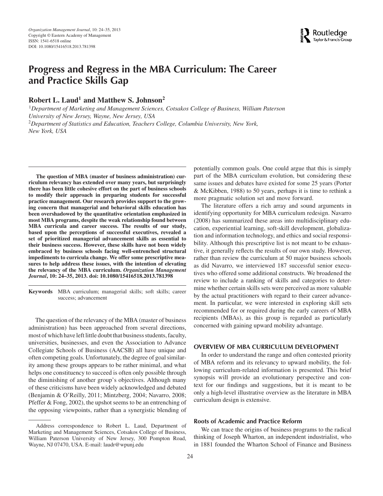

# **Progress and Regress in the MBA Curriculum: The Career and Practice Skills Gap**

# **Robert L. Laud<sup>1</sup> and Matthew S. Johnson<sup>2</sup>**

<sup>1</sup>*Department of Marketing and Management Sciences, Cotsakos College of Business, William Paterson University of New Jersey, Wayne, New Jersey, USA* <sup>2</sup>*Department of Statistics and Education, Teachers College, Columbia University, New York, New York, USA*

**The question of MBA (master of business administration) curriculum relevancy has extended over many years, but surprisingly there has been little cohesive effort on the part of business schools to modify their approach in preparing students for successful practice management. Our research provides support to the growing concern that managerial and behavioral skills education has been overshadowed by the quantitative orientation emphasized in most MBA programs, despite the weak relationship found between MBA curricula and career success. The results of our study, based upon the perceptions of successful executives, revealed a set of prioritized managerial advancement skills as essential to their business success. However, these skills have not been widely embraced by business schools facing well-entrenched structural impediments to curricula change. We offer some prescriptive measures to help address these issues, with the intention of elevating the relevancy of the MBA curriculum.** *Organization Management Journal***, 10: 24–35, 2013. doi: 10.1080/15416518.2013.781398**

**Keywords** MBA curriculum; managerial skills; soft skills; career success; advancement

The question of the relevancy of the MBA (master of business administration) has been approached from several directions, most of which have left little doubt that business students, faculty, universities, businesses, and even the Association to Advance Collegiate Schools of Business (AACSB) all have unique and often competing goals. Unfortunately, the degree of goal similarity among these groups appears to be rather minimal, and what helps one constituency to succeed is often only possible through the diminishing of another group's objectives. Although many of these criticisms have been widely acknowledged and debated (Benjamin & O'Reilly, 2011; Mintzberg, 2004; Navarro, 2008; Pfeffer & Fong, 2002), the upshot seems to be an entrenching of the opposing viewpoints, rather than a synergistic blending of potentially common goals. One could argue that this is simply part of the MBA curriculum evolution, but considering these same issues and debates have existed for some 25 years (Porter & McKibben, 1988) to 50 years, perhaps it is time to rethink a more pragmatic solution set and move forward.

The literature offers a rich array and sound arguments in identifying opportunity for MBA curriculum redesign. Navarro (2008) has summarized these areas into multidisciplinary education, experiential learning, soft-skill development, globalization and information technology, and ethics and social responsibility. Although this prescriptive list is not meant to be exhaustive, it generally reflects the results of our own study. However, rather than review the curriculum at 50 major business schools as did Navarro, we interviewed 187 successful senior executives who offered some additional constructs. We broadened the review to include a ranking of skills and categories to determine whether certain skills sets were perceived as more valuable by the actual practitioners with regard to their career advancement. In particular, we were interested in exploring skill sets recommended for or required during the early careers of MBA recipients (MBAs), as this group is regarded as particularly concerned with gaining upward mobility advantage.

#### **OVERVIEW OF MBA CURRICULUM DEVELOPMENT**

In order to understand the range and often contested priority of MBA reform and its relevancy to upward mobility, the following curriculum-related information is presented. This brief synopsis will provide an evolutionary perspective and context for our findings and suggestions, but it is meant to be only a high-level illustrative overview as the literature in MBA curriculum design is extensive.

#### **Roots of Academic and Practice Reform**

We can trace the origins of business programs to the radical thinking of Joseph Wharton, an independent industrialist, who in 1881 founded the Wharton School of Finance and Business

Address correspondence to Robert L. Laud, Department of Marketing and Management Sciences, Cotsakos College of Business, William Paterson University of New Jersey, 300 Pompton Road, Wayne, NJ 07470, USA. E-mail: laudr@wpunj.edu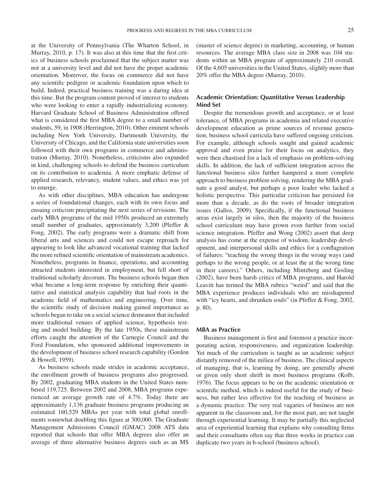at the University of Pennsylvania (The Wharton School, in Murray, 2010, p. 17). It was also at this time that the first critics of business schools proclaimed that the subject matter was not at a university level and did not have the proper academic orientation. Moreover, the focus on commerce did not have any scientific pedigree or academic foundation upon which to build. Indeed, practical business training was a daring idea at this time. But the program content proved of interest to students who were looking to enter a rapidly industrializing economy. Harvard Graduate School of Business Administration offered what is considered the first MBA degree to a small number of students, 59, in 1908 (Herrington, 2010). Other eminent schools including New York University, Dartmouth University, the University of Chicago, and the California state universities soon followed with their own programs in commerce and administration (Murray, 2010). Nonetheless, criticisms also expanded in kind, challenging schools to defend the business curriculum on its contribution to academia. A more emphatic defense of applied research, relevancy, student values, and ethics was yet to emerge.

As with other disciplines, MBA education has undergone a series of foundational changes, each with its own focus and ensuing criticism precipitating the next series of revisions. The early MBA programs of the mid 1950s produced an extremely small number of graduates, approximately 3,200 (Pfeffer & Fong, 2002). The early programs were a dramatic shift from liberal arts and sciences and could not escape reproach for appearing to look like advanced vocational training that lacked the more refined scientific orientation of mainstream academics. Nonetheless, programs in finance, operations, and accounting attracted students interested in employment, but fell short of traditional scholarly decorum. The business schools began then what became a long-term response by enriching their quantitative and statistical analysis capability that had roots in the academic field of mathematics and engineering. Over time, the scientific study of decision making gained importance as schools began to take on a social science demeanor that included more traditional venues of applied science, hypothesis testing and model building. By the late 1950s, these mainstream efforts caught the attention of the Carnegie Council and the Ford Foundation, who sponsored additional improvements in the development of business school research capability (Gordon & Howell, 1959).

As business schools made strides in academic acceptance, the enrollment growth of business programs also progressed. By 2002, graduating MBA students in the United States numbered 119,725. Between 2002 and 2008, MBA programs experienced an average growth rate of 4.7%. Today there are approximately 1,136 graduate business programs producing an estimated 160,529 MBAs per year with total global enrollments somewhat doubling this figure at 300,000. The Graduate Management Admissions Council (GMAC) 2008 ATS data reported that schools that offer MBA degrees also offer an average of three alternative business degrees such as an MS (master of science degree) in marketing, accounting, or human resources. The average MBA class size in 2008 was 104 students within an MBA program of approximately 210 overall. Of the 4,605 universities in the United States, slightly more than 20% offer the MBA degree (Murray, 2010).

## **Academic Orientation: Quantitative Versus Leadership Mind Set**

Despite the tremendous growth and acceptance, or at least tolerance, of MBA programs in academia and related executive development education as prime sources of revenue generation, business school curricula have suffered ongoing criticism. For example, although schools sought and gained academic approval and even praise for their focus on analytics, they were then chastised for a lack of emphasis on problem-solving skills. In addition, the lack of sufficient integration across the functional business silos further hampered a more complete approach to business problem solving, rendering the MBA graduate a good analyst, but perhaps a poor leader who lacked a holistic perspective. This particular criticism has persisted for more than a decade, as do the roots of broader integration issues (Gallos, 2009). Specifically, if the functional business areas exist largely in silos, then the majority of the business school curriculum may have grown even further from social science integration. Pfeffer and Wong (2002) assert that deep analysis has come at the expense of wisdom, leadership development, and interpersonal skills and ethics for a conflagration of failures: "teaching the wrong things in the wrong ways (and perhaps to the wrong people, or at least the at the wrong time in their careers)." Others, including Mintzberg and Gosling (2002), have been harsh critics of MBA programs, and Harold Leavitt has termed the MBA rubrics "weird" and said that the MBA experience produces individuals who are misshapened with "icy hearts, and shrunken souls" (in Pfeffer & Fong, 2002, p. 80).

#### **MBA as Practice**

Business management is first and foremost a practice incorporating action, responsiveness, and organization leadership. Yet much of the curriculum is taught as an academic subject distantly removed of the milieu of business. The clinical aspects of managing, that is, learning by doing, are generally absent or given only short shrift in most business programs (Kolb, 1976). The focus appears to be on the academic orientation or scientific method, which is indeed useful for the study of business, but rather less effective for the teaching of business as a dynamic practice. The very real vagaries of business are not apparent in the classroom and, for the most part, are not taught through experiential learning. It may be partially this neglected area of experiential learning that explains why consulting firms and their consultants often say that three weeks in practice can duplicate two years in b-school (business school).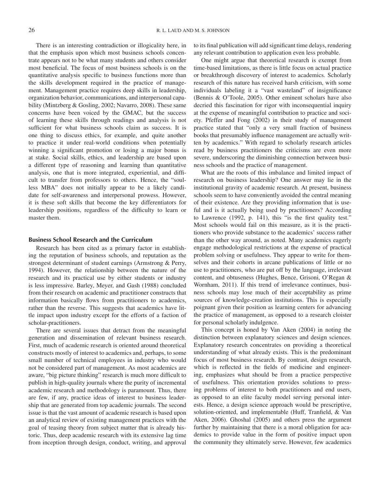There is an interesting contradiction or illogicality here, in that the emphasis upon which most business schools concentrate appears not to be what many students and others consider most beneficial. The focus of most business schools is on the quantitative analysis specific to business functions more than the skills development required in the practice of management. Management practice requires deep skills in leadership, organization behavior, communications, and interpersonal capability (Mintzberg & Gosling, 2002; Navarro, 2008). These same concerns have been voiced by the GMAC, but the success of learning these skills through readings and analysis is not sufficient for what business schools claim as success. It is one thing to discuss ethics, for example, and quite another to practice it under real-world conditions when potentially winning a significant promotion or losing a major bonus is at stake. Social skills, ethics, and leadership are based upon a different type of reasoning and learning than quantitative analysis, one that is more integrated, experiential, and difficult to transfer from professors to others. Hence, the "soulless MBA" does not initially appear to be a likely candidate for self-awareness and interpersonal prowess. However, it is these soft skills that become the key differentiators for leadership positions, regardless of the difficulty to learn or master them.

#### **Business School Research and the Curriculum**

Research has been cited as a primary factor in establishing the reputation of business schools, and reputation as the strongest determinant of student earnings (Armstrong & Perry, 1994). However, the relationship between the nature of the research and its practical use by either students or industry is less impressive. Barley, Meyer, and Gash (1988) concluded from their research on academic and practitioner constructs that information basically flows from practitioners to academics, rather than the reverse. This suggests that academics have little impact upon industry except for the efforts of a faction of scholar-practitioners.

There are several issues that detract from the meaningful generation and dissemination of relevant business research. First, much of academic research is oriented around theoretical constructs mostly of interest to academics and, perhaps, to some small number of technical employees in industry who would not be considered part of management. As most academics are aware, "big picture thinking" research is much more difficult to publish in high-quality journals where the purity of incremental academic research and methodology is paramount. Thus, there are few, if any, practice ideas of interest to business leadership that are generated from top academic journals. The second issue is that the vast amount of academic research is based upon an analytical review of existing management practices with the goal of teasing theory from subject matter that is already historic. Thus, deep academic research with its extensive lag time from inception through design, conduct, writing, and approval

to its final publication will add significant time delays, rendering any relevant contribution to application even less probable.

One might argue that theoretical research is exempt from time-based limitations, as there is little focus on actual practice or breakthrough discovery of interest to academics. Scholarly research of this nature has received harsh criticism, with some individuals labeling it a "vast wasteland" of insignificance (Bennis & O'Toole, 2005). Other eminent scholars have also decried this fascination for rigor with inconsequential inquiry at the expense of meaningful contribution to practice and society. Pfeffer and Fong (2002) in their study of management practice stated that "only a very small fraction of business books that presumably influence management are actually written by academics." With regard to scholarly research articles read by business practitioners the criticisms are even more severe, underscoring the diminishing connection between business schools and the practice of management.

What are the roots of this imbalance and limited impact of research on business leadership? One answer may lie in the institutional gravity of academic research. At present, business schools seem to have conveniently avoided the central meaning of their existence. Are they providing information that is useful and is it actually being used by practitioners? According to Lawrence (1992, p. 141), this "is the first quality test." Most schools would fail on this measure, as it is the practitioners who provide substance to the academics' success rather than the other way around, as noted. Many academics eagerly engage methodological restrictions at the expense of practical problem solving or usefulness. They appear to write for themselves and their cohorts in arcane publications of little or no use to practitioners, who are put off by the language, irrelevant content, and obtuseness (Hughes, Bence, Grisoni, O'Regan & Wornham, 2011). If this trend of irrelevance continues, business schools may lose much of their acceptability as prime sources of knowledge-creation institutions. This is especially poignant given their position as learning centers for advancing the practice of management, as opposed to a research cloister for personal scholarly indulgence.

This concept is honed by Van Aken (2004) in noting the distinction between explanatory sciences and design sciences. Explanatory research concentrates on providing a theoretical understanding of what already exists. This is the predominant focus of most business research. By contrast, design research, which is reflected in the fields of medicine and engineering, emphasizes what should be from a practice perspective of usefulness. This orientation provides solutions to pressing problems of interest to both practitioners and end users, as opposed to an elite faculty model serving personal interests. Hence, a design science approach would be prescriptive, solution-oriented, and implementable (Huff, Tranfield, & Van Aken, 2006). Ghoshal (2005) and others press the argument further by maintaining that there is a moral obligation for academics to provide value in the form of positive impact upon the community they ultimately serve. However, few academics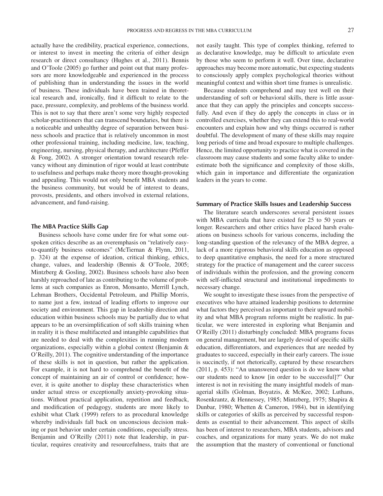actually have the credibility, practical experience, connections, or interest to invest in meeting the criteria of either design research or direct consultancy (Hughes et al., 2011). Bennis and O'Toole (2005) go further and point out that many professors are more knowledgeable and experienced in the process of publishing than in understanding the issues in the world of business. These individuals have been trained in theoretical research and, ironically, find it difficult to relate to the pace, pressure, complexity, and problems of the business world. This is not to say that there aren't some very highly respected scholar-practitioners that can transcend boundaries, but there is a noticeable and unhealthy degree of separation between business schools and practice that is relatively uncommon in most other professional training, including medicine, law, teaching, engineering, nursing, physical therapy, and architecture (Pfeffer & Fong, 2002). A stronger orientation toward research relevancy without any diminution of rigor would at least contribute to usefulness and perhaps make theory more thought-provoking and appealing. This would not only benefit MBA students and the business community, but would be of interest to deans, provosts, presidents, and others involved in external relations, advancement, and fund-raising.

#### **The MBA Practice Skills Gap**

Business schools have come under fire for what some outspoken critics describe as an overemphasis on "relatively easyto-quantify business outcomes" (McTiernan & Flynn, 2011, p. 324) at the expense of ideation, critical thinking, ethics, change, values, and leadership (Bennis & O'Toole, 2005; Mintzberg & Gosling, 2002). Business schools have also been harshly reproached of late as contributing to the volume of problems at such companies as Enron, Monsanto, Merrill Lynch, Lehman Brothers, Occidental Petroleum, and Phillip Morris, to name just a few, instead of leading efforts to improve our society and environment. This gap in leadership direction and education within business schools may be partially due to what appears to be an oversimplification of soft skills training when in reality it is these multifaceted and intangible capabilities that are needed to deal with the complexities in running modern organizations, especially within a global context (Benjamin & O'Reilly, 2011). The cognitive understanding of the importance of these skills is not in question, but rather the application. For example, it is not hard to comprehend the benefit of the concept of maintaining an air of control or confidence; however, it is quite another to display these characteristics when under actual stress or exceptionally anxiety-provoking situations. Without practical application, repetition and feedback, and modification of pedagogy, students are more likely to exhibit what Clark (1999) refers to as procedural knowledge whereby individuals fall back on unconscious decision making or past behavior under certain conditions, especially stress. Benjamin and O'Reilly (2011) note that leadership, in particular, requires creativity and resourcefulness, traits that are not easily taught. This type of complex thinking, referred to as declarative knowledge, may be difficult to articulate even by those who seem to perform it well. Over time, declarative approaches may become more automatic, but expecting students to consciously apply complex psychological theories without meaningful context and within short time frames is unrealistic.

Because students comprehend and may test well on their understanding of soft or behavioral skills, there is little assurance that they can apply the principles and concepts successfully. And even if they do apply the concepts in class or in controlled exercises, whether they can extend this to real-world encounters and explain how and why things occurred is rather doubtful. The development of many of these skills may require long periods of time and broad exposure to multiple challenges. Hence, the limited opportunity to practice what is covered in the classroom may cause students and some faculty alike to underestimate both the significance and complexity of those skills, which gain in importance and differentiate the organization leaders in the years to come.

#### **Summary of Practice Skills Issues and Leadership Success**

The literature search underscores several persistent issues with MBA curricula that have existed for 25 to 50 years or longer. Researchers and other critics have placed harsh evaluations on business schools for various concerns, including the long-standing question of the relevancy of the MBA degree, a lack of a more rigorous behavioral skills education as opposed to deep quantitative emphasis, the need for a more structured strategy for the practice of management and the career success of individuals within the profession, and the growing concern with self-inflicted structural and institutional impediments to necessary change.

We sought to investigate these issues from the perspective of executives who have attained leadership positions to determine what factors they perceived as important to their upward mobility and what MBA program reforms might be realistic. In particular, we were interested in exploring what Benjamin and O'Reilly (2011) disturbingly concluded: MBA programs focus on general management, but are largely devoid of specific skills education, differentiators, and experiences that are needed by graduates to succeed, especially in their early careers. The issue is succinctly, if not rhetorically, captured by these researchers (2011, p. 453): "An unanswered question is do we know what our students need to know [in order to be successful]?" Our interest is not in revisiting the many insightful models of managerial skills (Golman, Boyatzis, & McKee, 2002; Luthans, Rosenkrantz, & Hennessey, 1985; Mintzberg, 1975; Shapira & Dunbar, 1980; Whetten & Cameron, 1984), but in identifying skills or categories of skills as perceived by successful respondents as essential to their advancement. This aspect of skills has been of interest to researchers, MBA students, advisors and coaches, and organizations for many years. We do not make the assumption that the mastery of conventional or functional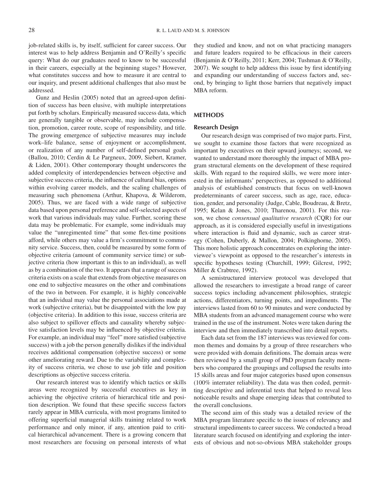job-related skills is, by itself, sufficient for career success. Our interest was to help address Benjamin and O'Reilly's specific query: What do our graduates need to know to be successful in their careers, especially at the beginning stages? However, what constitutes success and how to measure it are central to our inquiry, and present additional challenges that also must be addressed.

Gunz and Heslin (2005) noted that an agreed-upon definition of success has been elusive, with multiple interpretations put forth by scholars. Empirically measured success data, which are generally tangible or observable, may include compensation, promotion, career route, scope of responsibility, and title. The growing emergence of subjective measures may include work–life balance, sense of enjoyment or accomplishment, or realization of any number of self-defined personal goals (Ballou, 2010; Cerdin & Le Pargneux, 2009, Siebert, Kramer, & Liden, 2001). Other contemporary thought underscores the added complexity of interdependencies between objective and subjective success criteria, the influence of cultural bias, options within evolving career models, and the scaling challenges of measuring such phenomena (Arthur, Khapova, & Wilderom, 2005). Thus, we are faced with a wide range of subjective data based upon personal preference and self-selected aspects of work that various individuals may value. Further, scoring these data may be problematic. For example, some individuals may value the "unregimented time" that some flex-time positions afford, while others may value a firm's commitment to community service. Success, then, could be measured by some form of objective criteria (amount of community service time) or subjective criteria (how important is this to an individual), as well as by a combination of the two. It appears that a range of success criteria exists on a scale that extends from objective measures on one end to subjective measures on the other and combinations of the two in between. For example, it is highly conceivable that an individual may value the personal associations made at work (subjective criteria), but be disappointed with the low pay (objective criteria). In addition to this issue, success criteria are also subject to spillover effects and causality whereby subjective satisfaction levels may be influenced by objective criteria. For example, an individual may "feel" more satisfied (subjective success) with a job the person generally dislikes if the individual receives additional compensation (objective success) or some other ameliorating reward. Due to the variability and complexity of success criteria, we chose to use job title and position descriptions as objective success criteria.

Our research interest was to identify which tactics or skills areas were recognized by successful executives as key in achieving the objective criteria of hierarchical title and position description. We found that these specific success factors rarely appear in MBA curricula, with most programs limited to offering superficial managerial skills training related to work performance and only minor, if any, attention paid to critical hierarchical advancement. There is a growing concern that most researchers are focusing on personal interests of what

they studied and know, and not on what practicing managers and future leaders required to be efficacious in their careers (Benjamin & O'Reilly, 2011; Kerr, 2004; Tushman & O'Reilly, 2007). We sought to help address this issue by first identifying and expanding our understanding of success factors and, second, by bringing to light those barriers that negatively impact MBA reform.

#### **METHODS**

#### **Research Design**

Our research design was comprised of two major parts. First, we sought to examine those factors that were recognized as important by executives on their upward journeys; second, we wanted to understand more thoroughly the impact of MBA program structural elements on the development of these required skills. With regard to the required skills, we were more interested in the informants' perspectives, as opposed to additional analysis of established constructs that focus on well-known predeterminants of career success, such as age, race, education, gender, and personality (Judge, Cable, Boudreau, & Bretz, 1995; Kelan & Jones, 2010; Tharenou, 2001). For this reason, we chose *consensual qualitative research* (CQR) for our approach, as it is considered especially useful in investigations where interaction is fluid and dynamic, such as career strategy (Cohen, Duberly, & Mallon, 2004; Polkinghorne, 2005). This more holistic approach concentrates on exploring the interviewee's viewpoint as opposed to the researcher's interests in specific hypotheses testing (Churchill, 1999; Gilcrest, 1992; Miller & Crabtree, 1992).

A semistructured interview protocol was developed that allowed the researchers to investigate a broad range of career success topics including advancement philosophies, strategic actions, differentiators, turning points, and impediments. The interviews lasted from 60 to 90 minutes and were conducted by MBA students from an advanced management course who were trained in the use of the instrument. Notes were taken during the interview and then immediately transcribed into detail reports.

Each data set from the 187 interviews was reviewed for common themes and domains by a group of three researchers who were provided with domain definitions. The domain areas were then reviewed by a small group of PhD program faculty members who compared the groupings and collapsed the results into 15 skills areas and four major categories based upon consensus (100% interrater reliability). The data was then coded, permitting descriptive and inferential tests that helped to reveal less noticeable results and shape emerging ideas that contributed to the overall conclusions.

The second aim of this study was a detailed review of the MBA program literature specific to the issues of relevancy and structural impediments to career success. We conducted a broad literature search focused on identifying and exploring the interests of obvious and not-so-obvious MBA stakeholder groups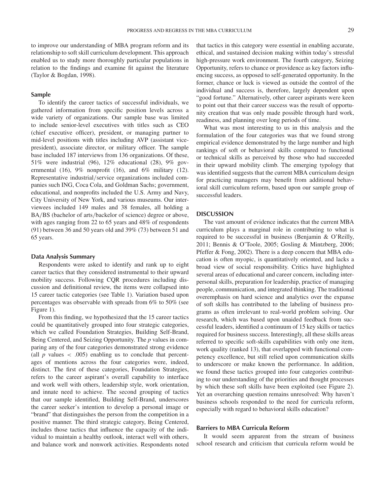to improve our understanding of MBA program reform and its relationship to soft skill curriculum development. This approach enabled us to study more thoroughly particular populations in relation to the findings and examine fit against the literature (Taylor & Bogdan, 1998).

#### **Sample**

To identify the career tactics of successful individuals, we gathered information from specific position levels across a wide variety of organizations. Our sample base was limited to include senior-level executives with titles such as CEO (chief executive officer), president, or managing partner to mid-level positions with titles including AVP (assistant vicepresident), associate director, or military officer. The sample base included 187 interviews from 136 organizations. Of these, 51% were industrial (96), 12% educational (28), 9% governmental (16),  $9\%$  nonprofit (16), and  $6\%$  military (12). Representative industrial*/*service organizations included companies such ING, Coca Cola, and Goldman Sachs; government, educational, and nonprofits included the U.S. Army and Navy, City University of New York, and various museums. Our interviewees included 149 males and 38 females, all holding a BA*/*BS (bachelor of arts*/*backelor of science) degree or above, with ages ranging from 22 to 65 years and 48% of respondents (91) between 36 and 50 years old and 39% (73) between 51 and 65 years.

#### **Data Analysis Summary**

Respondents were asked to identify and rank up to eight career tactics that they considered instrumental to their upward mobility success. Following CQR procedures including discussion and definitional review, the items were collapsed into 15 career tactic categories (see Table 1). Variation based upon percentages was observable with spreads from 6% to 50% (see Figure 1).

From this finding, we hypothesized that the 15 career tactics could be quantitatively grouped into four strategic categories, which we called Foundation Strategies, Building Self-Brand, Being Centered, and Seizing Opportunity. The *p* values in comparing any of the four categories demonstrated strong evidence (all *p* values *<* .005) enabling us to conclude that percentages of mentions across the four categories were, indeed, distinct. The first of these categories, Foundation Strategies, refers to the career aspirant's overall capability to interface and work well with others, leadership style, work orientation, and innate need to achieve. The second grouping of tactics that our sample identified, Building Self-Brand, underscores the career seeker's intention to develop a personal image or "brand" that distinguishes the person from the competition in a positive manner. The third strategic category, Being Centered, includes those tactics that influence the capacity of the individual to maintain a healthy outlook, interact well with others, and balance work and nonwork activities. Respondents noted that tactics in this category were essential in enabling accurate, ethical, and sustained decision making within today's stressful high-pressure work environment. The fourth category, Seizing Opportunity, refers to chance or providence as key factors influencing success, as opposed to self-generated opportunity. In the former, chance or luck is viewed as outside the control of the individual and success is, therefore, largely dependent upon "good fortune." Alternatively, other career aspirants were keen to point out that their career success was the result of opportunity creation that was only made possible through hard work, readiness, and planning over long periods of time.

What was most interesting to us in this analysis and the formulation of the four categories was that we found strong empirical evidence demonstrated by the large number and high rankings of soft or behavioral skills compared to functional or technical skills as perceived by those who had succeeded in their upward mobility climb. The emerging typology that was identified suggests that the current MBA curriculum design for practicing managers may benefit from additional behavioral skill curriculum reform, based upon our sample group of successful leaders.

#### **DISCUSSION**

The vast amount of evidence indicates that the current MBA curriculum plays a marginal role in contributing to what is required to be successful in business (Benjamin & O'Reilly, 2011; Bennis & O'Toole, 2005; Gosling & Mintzberg, 2006; Pfeffer & Fong, 2002). There is a deep concern that MBA education is often myopic, is quantitatively oriented, and lacks a broad view of social responsibility. Critics have highlighted several areas of educational and career concern, including interpersonal skills, preparation for leadership, practice of managing people, communication, and integrated thinking. The traditional overemphasis on hard science and analytics over the expanse of soft skills has contributed to the labeling of business programs as often irrelevant to real-world problem solving. Our research, which was based upon unaided feedback from successful leaders, identified a continuum of 15 key skills or tactics required for business success. Interestingly, all these skills areas referred to specific soft-skills capabilities with only one item, work quality (ranked 13), that overlapped with functional competency excellence, but still relied upon communication skills to underscore or make known the performance. In addition, we found these tactics grouped into four categories contributing to our understanding of the priorities and thought processes by which these soft skills have been exploited (see Figure 2). Yet an overarching question remains unresolved: Why haven't business schools responded to the need for curricula reform, especially with regard to behavioral skills education?

#### **Barriers to MBA Curricula Reform**

It would seem apparent from the stream of business school research and criticism that curricula reform would be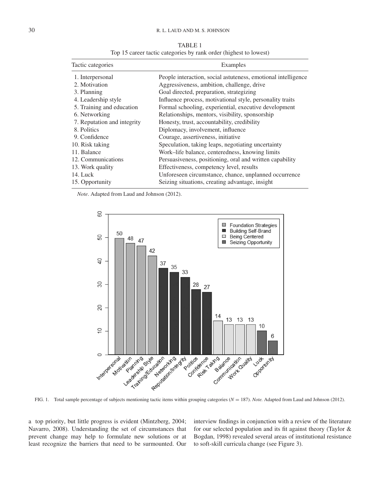| Tactic categories           | Examples                                                      |
|-----------------------------|---------------------------------------------------------------|
| 1. Interpersonal            | People interaction, social astuteness, emotional intelligence |
| 2. Motivation               | Aggressiveness, ambition, challenge, drive                    |
| 3. Planning                 | Goal directed, preparation, strategizing                      |
| 4. Leadership style         | Influence process, motivational style, personality traits     |
| 5. Training and education   | Formal schooling, experiential, executive development         |
| 6. Networking               | Relationships, mentors, visibility, sponsorship               |
| 7. Reputation and integrity | Honesty, trust, accountability, credibility                   |
| 8. Politics                 | Diplomacy, involvement, influence                             |
| 9. Confidence               | Courage, assertiveness, initiative                            |
| 10. Risk taking             | Speculation, taking leaps, negotiating uncertainty            |
| 11. Balance                 | Work-life balance, centeredness, knowing limits               |
| 12. Communications          | Persuasiveness, positioning, oral and written capability      |
| 13. Work quality            | Effectiveness, competency level, results                      |
| 14. Luck                    | Unforeseen circumstance, chance, unplanned occurrence         |
| 15. Opportunity             | Seizing situations, creating advantage, insight               |
|                             |                                                               |

TABLE 1 Top 15 career tactic categories by rank order (highest to lowest)

*Note*. Adapted from Laud and Johnson (2012).



FIG. 1. Total sample percentage of subjects mentioning tactic items within grouping categories (*N* = 187). *Note.* Adapted from Laud and Johnson (2012).

a top priority, but little progress is evident (Mintzberg, 2004; Navarro, 2008). Understanding the set of circumstances that prevent change may help to formulate new solutions or at least recognize the barriers that need to be surmounted. Our interview findings in conjunction with a review of the literature for our selected population and its fit against theory (Taylor & Bogdan, 1998) revealed several areas of institutional resistance to soft-skill curricula change (see Figure 3).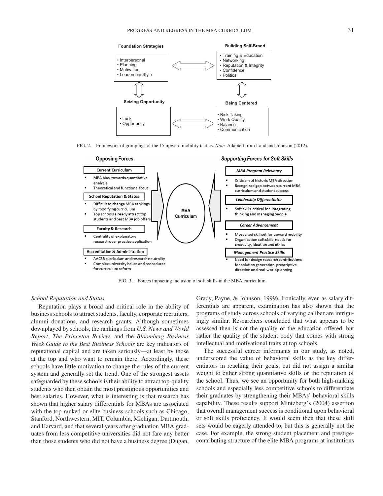

FIG. 2. Framework of groupings of the 15 upward mobility tactics. *Note.* Adapted from Laud and Johnson (2012).



FIG. 3. Forces impacting inclusion of soft skills in the MBA curriculum.

#### *School Reputation and Status*

Reputation plays a broad and critical role in the ability of business schools to attract students, faculty, corporate recruiters, alumni donations, and research grants. Although sometimes downplayed by schools, the rankings from *U.S. News and World Report*, *The Princeton Review*, and the *Bloomberg Business Week Guide to the Best Business Schools* are key indicators of reputational capital and are taken seriously—at least by those at the top and who want to remain there. Accordingly, these schools have little motivation to change the rules of the current system and generally set the trend. One of the strongest assets safeguarded by these schools is their ability to attract top-quality students who then obtain the most prestigious opportunities and best salaries. However, what is interesting is that research has shown that higher salary differentials for MBAs are associated with the top-ranked or elite business schools such as Chicago, Stanford, Northwestern, MIT, Columbia, Michigan, Dartmouth, and Harvard, and that several years after graduation MBA graduates from less competitive universities did not fare any better than those students who did not have a business degree (Dugan,

Grady, Payne, & Johnson, 1999). Ironically, even as salary differentials are apparent, examination has also shown that the programs of study across schools of varying caliber are intriguingly similar. Researchers concluded that what appears to be assessed then is not the quality of the education offered, but rather the quality of the student body that comes with strong intellectual and motivational traits at top schools.

The successful career informants in our study, as noted, underscored the value of behavioral skills as the key differentiators in reaching their goals, but did not assign a similar weight to either strong quantitative skills or the reputation of the school. Thus, we see an opportunity for both high-ranking schools and especially less competitive schools to differentiate their graduates by strengthening their MBAs' behavioral skills capability. These results support Mintzberg's (2004) assertion that overall management success is conditional upon behavioral or soft skills proficiency. It would seem then that these skill sets would be eagerly attended to, but this is generally not the case. For example, the strong student placement and prestigecontributing structure of the elite MBA programs at institutions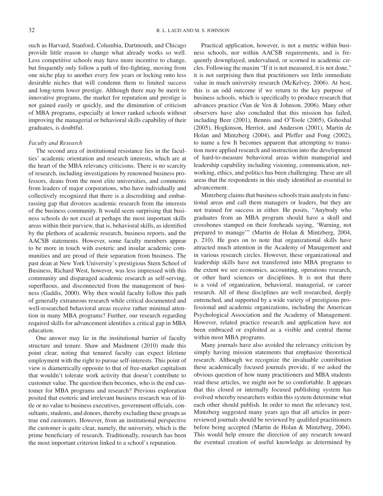such as Harvard, Stanford, Columbia, Dartmouth, and Chicago provide little reason to change what already works so well. Less competitive schools may have more incentive to change, but frequently only follow a path of fire-fighting, moving from one niche play to another every few years or locking onto less desirable niches that will condemn them to limited success and long-term lower prestige. Although there may be merit to innovative programs, the market for reputation and prestige is not gained easily or quickly, and the diminution of criticism of MBA programs, especially at lower ranked schools without improving the managerial or behavioral skills capability of their graduates, is doubtful.

#### *Faculty and Research*

The second area of institutional resistance lies in the faculties' academic orientation and research interests, which are at the heart of the MBA relevancy criticisms. There is no scarcity of research, including investigations by renowned business professors, deans from the most elite universities, and comments from leaders of major corporations, who have individually and collectively recognized that there is a discrediting and embarrassing gap that divorces academic research from the interests of the business community. It would seem surprising that business schools do not excel at perhaps the most important skills areas within their purview, that is, behavioral skills, as identified by the plethora of academic research, business reports, and the AACSB statements. However, some faculty members appear to be more in touch with esoteric and insular academic communities and are proud of their separation from business. The past dean at New York University's prestigious Stern School of Business, Richard West, however, was less impressed with this community and disparaged academic research as self-serving, superfluous, and disconnected from the management of business (Gaddis, 2000). Why then would faculty follow this path of generally extraneous research while critical documented and well-researched behavioral areas receive rather minimal attention in many MBA programs? Further, our research regarding required skills for advancement identifies a critical gap in MBA education.

One answer may lie in the institutional barrier of faculty structure and tenure. Shaw and Maidment (2010) made this point clear, noting that tenured faculty can expect lifetime employment with the right to pursue self-interests. This point of view is diametrically opposite to that of free-market capitalism that wouldn't tolerate work activity that doesn't contribute to customer value. The question then becomes, who is the end customer for MBA programs and research? Previous exploration posited that esoteric and irrelevant business research was of little or no value to business executives, government officials, consultants, students, and donors, thereby excluding these groups as true end customers. However, from an institutional perspective the customer is quite clear, namely, the university, which is the prime beneficiary of research. Traditionally, research has been the most important criterion linked to a school's reputation.

Practical application, however, is not a metric within business schools, nor within AACSB requirements, and is frequently downplayed, undervalued, or scorned in academic circles. Following the maxim "If it is not measured, it is not done," it is not surprising then that practitioners see little immediate value in much university research (McKelvey, 2006). At best, this is an odd outcome if we return to the key purpose of business schools, which is specifically to produce research that advances practice (Van de Ven & Johnson, 2006). Many other observers have also concluded that this mission has failed, including Beer (2001), Bennis and O'Toole (2005), Gohoshal (2005), Hogkinson, Herriot, and Anderson (2001), Martin de Holan and Mintzberg (2004), and Pfeffer and Fong (2002), to name a few It becomes apparent that attempting to transition more applied research and instruction into the development of hard-to-measure behavioral areas within managerial and leadership capability including visioning, communication, networking, ethics, and politics has been challenging. These are all areas that the respondents in this study identified as essential to advancement.

Mintzberg claims that business schools train analysts in functional areas and call them managers or leaders, but they are not trained for success in either. He posits, "Anybody who graduates from an MBA program should have a skull and crossbones stamped on their foreheads saying, 'Warning, not prepared to manage'" (Martin de Holan & Mintzberg, 2004, p. 210). He goes on to note that organizational skills have attracted much attention in the Academy of Management and in various research circles. However, these organizational and leadership skills have not transferred into MBA programs to the extent we see economics, accounting, operations research, or other hard sciences or disciplines. It is not that there is a void of organization, behavioral, managerial, or career research. All of these disciplines are well researched, deeply entrenched, and supported by a wide variety of prestigious professional and academic organizations, including the American Psychological Association and the Academy of Management. However, related practice research and application have not been embraced or exploited as a visible and central theme within most MBA programs.

Many journals have also avoided the relevancy criticism by simply having mission statements that emphasize theoretical research. Although we recognize the invaluable contribution these academically focused journals provide, if we asked the obvious question of how many practitioners and MBA students read these articles, we might not be so comfortable. It appears that this closed or internally focused publishing system has evolved whereby researchers within this system determine what each other should publish. In order to meet the relevancy test, Mintzberg suggested many years ago that all articles in peerreviewed journals should be reviewed by qualified practitioners before being accepted (Martin de Holan & Mintzberg, 2004). This would help ensure the direction of any research toward the eventual creation of useful knowledge as determined by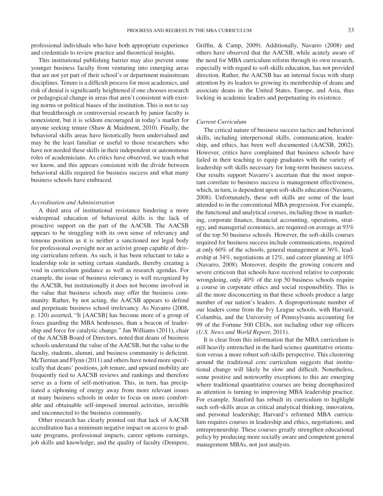professional individuals who have both appropriate experience and credentials to review practice and theoretical insights.

This institutional publishing barrier may also prevent some younger business faculty from venturing into emerging areas that are not yet part of their school's or department mainstream disciplines. Tenure is a difficult process for most academics, and risk of denial is significantly heightened if one chooses research or pedagogical change in areas that aren't consistent with existing norms or political biases of the institution. This is not to say that breakthrough or controversial research by junior faculty is nonexistent, but it is seldom encouraged in today's market for anyone seeking tenure (Shaw & Maidment, 2010). Finally, the behavioral skills areas have historically been undervalued and may be the least familiar or useful to those researchers who have not needed these skills in their independent or autonomous roles of academicians. As critics have observed, we teach what we know, and this appears consistent with the divide between behavioral skills required for business success and what many business schools have embraced.

#### *Accreditation and Administration*

A third area of institutional resistance hindering a more widespread education of behavioral skills is the lack of proactive support on the part of the AACSB. The AACSB appears to be struggling with its own sense of relevancy and tenuous position as it is neither a sanctioned nor legal body for professional oversight nor an activist group capable of driving curriculum reform. As such, it has been reluctant to take a leadership role in setting certain standards, thereby creating a void in curriculum guidance as well as research agendas. For example, the issue of business relevancy is well recognized by the AACSB, but institutionally it does not become involved in the value that business schools may offer the business community. Rather, by not acting, the AACSB appears to defend and perpetuate business school irrelevancy. As Navarro (2008, p. 120) asserted, "It [AACSB] has become more of a group of foxes guarding the MBA henhouses, than a beacon of leadership and force for catalytic change." Jan Williams (2011), chair of the AACSB Board of Directors, noted that deans of business schools understand the value of the AACSB, but the value to the faculty, students, alumni, and business community is deficient. McTiernan and Flynn (2011) and others have noted more specifically that deans' positions, job tenure, and upward mobility are frequently tied to AACSB reviews and rankings and therefore serve as a form of self-motivation. This, in turn, has precipitated a siphoning of energy away from more relevant issues at many business schools in order to focus on more comfortable and obtainable self-imposed internal activities, invisible and unconnected to the business community.

Other research has clearly pointed out that lack of AACSB accreditation has a minimum negative impact on access to graduate programs, professional impacts, career options earnings, job skills and knowledge, and the quality of faculty (Dempere, Griffin, & Camp, 2009). Additionally, Navarro (2008) and others have observed that the AACSB, while acutely aware of the need for MBA curriculum reform through its own research, especially with regard to soft-skills education, has not provided direction. Rather, the AACSB has an internal focus with sharp attention by its leaders to growing its membership of deans and associate deans in the United States, Europe, and Asia, thus locking in academic leaders and perpetuating its existence.

#### *Current Curriculum*

The critical nature of business success tactics and behavioral skills, including interpersonal skills, communication, leadership, and ethics, has been well documented (AACSB, 2002). However, critics have complained that business schools have failed in their teaching to equip graduates with the variety of leadership soft skills necessary for long-term business success. Our results support Navarro's ascertain that the most important correlate to business success is management effectiveness, which, in turn, is dependent upon soft-skills education (Navarro, 2008). Unfortunately, these soft skills are some of the least attended to in the conventional MBA progression. For example, the functional and analytical courses, including those in marketing, corporate finance, financial accounting, operations, strategy, and managerial economics, are required on average at 93% of the top 50 business schools. However, the soft-skills courses required for business success include communications, required at only 60% of the schools, general management at 36%, leadership at 34%, negotiations at 12%, and career planning at 10% (Navarro, 2008). Moreover, despite the growing concern and severe criticism that schools have received relative to corporate wrongdoing, only 40% of the top 50 business schools require a course in corporate ethics and social responsibility. This is all the more disconcerting in that these schools produce a large number of our nation's leaders. A disproportionate number of our leaders come from the Ivy League schools, with Harvard, Columbia, and the University of Pennsylvania accounting for 99 of the Fortune 500 CEOs, not including other top officers (*U.S. News and World Report*, 2011).

It is clear from this information that the MBA curriculum is still heavily entrenched in the hard science quantitative orientation versus a more robust soft-skills perspective. This clustering around the traditional core curriculum suggests that institutional change will likely be slow and difficult. Nonetheless, some positive and noteworthy exceptions to this are emerging where traditional quantitative courses are being deemphasized as attention is turning to improving MBA leadership practice. For example, Stanford has rebuilt its curriculum to highlight such soft-skills areas as critical analytical thinking, innovation, and personal leadership; Harvard's reformed MBA curriculum requires courses in leadership and ethics, negotiations, and entrepreneurship. These courses greatly strengthen educational policy by producing more socially aware and competent general management MBAs, not just analysts.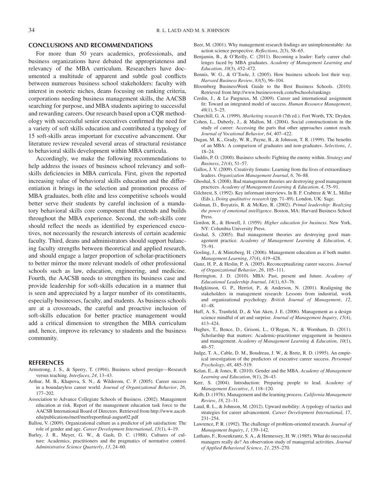### **CONCLUSIONS AND RECOMMENDATIONS**

For more than 50 years academics, professionals, and business organizations have debated the appropriateness and relevancy of the MBA curriculum. Researchers have documented a multitude of apparent and subtle goal conflicts between numerous business school stakeholders: faculty with interest in esoteric niches, deans focusing on ranking criteria, corporations needing business management skills, the AACSB searching for purpose, and MBA students aspiring to successful and rewarding careers. Our research based upon a CQR methodology with successful senior executives confirmed the need for a variety of soft skills education and contributed a typology of 15 soft-skills areas important for executive advancement. Our literature review revealed several areas of structural resistance to behavioral skills development within MBA curricula.

Accordingly, we make the following recommendations to help address the issues of business school relevancy and softskills deficiencies in MBA curricula. First, given the reported increasing value of behavioral skills education and the differentiation it brings in the selection and promotion process of MBA graduates, both elite and less competitive schools would better serve their students by careful inclusion of a mandatory behavioral skills core component that extends and builds throughout the MBA experience. Second, the soft-skills core should reflect the needs as identified by experienced executives, not necessarily the research interests of certain academic faculty. Third, deans and administrators should support balancing faculty strengths between theoretical and applied research, and should engage a larger proportion of scholar-practitioners to better mirror the more relevant models of other professional schools such as law, education, engineering, and medicine. Fourth, the AACSB needs to strengthen its business case and provide leadership for soft-skills education in a manner that is seen and appreciated by a larger number of its constituents, especially businesses, faculty, and students. As business schools are at a crossroads, the careful and proactive inclusion of soft-skills education for better practice management would add a critical dimension to strengthen the MBA curriculum and, hence, improve its relevancy to students and the business community.

#### **REFERENCES**

- Armstrong, J. S., & Sperry, T. (1994). Business school prestige—Research versus teaching. *Interfaces*, *24*, 13–43.
- Arthur, M. B., Khapova, S. N., & Wilderom, C. P. (2005). Career success in a boundaryless career world. *Journal of Organizational Behavior*, *26*, 177–202.
- Association to Advance Collegiate Schools of Business. (2002). Management education at risk. Report of the management education task force to the AACSB International Board of Directors. Retrieved from http://www.aacsb. edu/publications/metf/metfreportfinal-august02.pdf
- Ballou, V. (2009). Organizational culture as a predictor of job satisfaction: The role of gender and age. *Career Development International*, *15*(1), 4–19.
- Barley, J. R., Meyer, G. W., & Gash, D. C. (1988). Cultures of culture: Academics, practitioners and the pragmatics of normative control. *Administrative Science Quarterly*, *13*, 24–60.
- Beer, M. (2001). Why management research findings are unimplementable: An action science perspective. *Reflections*, *2*(3), 58–65.
- Benjamin, B., & O'Reilly, C. (2011). Becoming a leader: Early career challenges faced by MBA graduates. *Academy of Management Learning and Education*, *10*(3), 452–472.
- Bennis, W. G., & O'Toole, J. (2005). How business schools lost their way. *Harvard Business Review*, *83*(5), 96–104.
- Bloomberg BusinessWeek Guide to the Best Business Schools. (2010). Retrieved from http://www.businessweek.com/bschools/rankings
- Cerdin, J., & Le Pargneux, M. (2009). Career and international assignment fit: Toward an integrated model of success. *Human Resource Management*, *48*(1), 5–25.
- Churchill, G. A. (1999). *Marketing research* (7th ed.). Fort Worth, TX: Dryden.
- Cohen, L., Duberly, J., & Mallon, M. (2004). Social constructionism in the study of career: Accessing the parts that other approaches cannot reach. *Journal of Vocational Behavior*, *64*, 407–422.
- Dugan, M. K., Grady, W. R., Payne, B., & Johnson, T. R. (1999). The benefits of an MBA: A comparison of graduates and non-graduates. *Selections*, *1*, 18–24.
- Gaddis, P. O. (2000). Business schools: Fighting the enemy within. *Strategy and Business*, *21*(4), 51–57.
- Gallos, J. V. (2009). Creativity forums: Learning from the lives of extraordinary leaders. *Organization Management Journal*, *6*, 76–88.
- Ghoshal, S. (2008). Bad management theories are destroying good management practices. *Academy of Management Learning & Education*, *4*, 75–91.
- Gilchrest, S. (1992). Key informant interviews. In B. F. Crabtree & W. L. Miller (Eds.), *Doing qualitative research* (pp. 71–89). London, UK: Sage.
- Golman, D., Boyatzis, R. & McKee, R. (2002). *Primal leadership: Realizing the power of emotional intelligence*. Boston, MA: Harvard Business School Press.
- Gordon, R., & Howell, J. (1959). *Higher education for business*. New York, NY: Columbia University Press.
- Goshal, S. (2005). Bad management theories are destroying good management practice. *Academy of Management Learning & Education*, *4*, 75–91.
- Gosling, J., & Mintzberg, H. (2006). Management education as if both matter. *Management Learning*, *37*(4), 419–428.
- Gunz, H. P., & Heslin, P. A. (2005). Reconceptualizing career success. *Journal of Organizational Behavior*, *26*, 105–111.
- Herrington, J. D. (2010). MBA: Past, present and future. *Academy of Educational Leadership Journal*, *14*(1), 63–76.
- Hodgkinson, G. P., Herriot, P., & Anderson, N. (2001). Realigning the stakeholders in management research: Lessons from industrial, work and organizational psychology. *British Journal of Management*, *12*, 41–48.
- Huff, A. S., Tranfield, D., & Van Aken, J. E. (2006). Management as a design science mindful of art and surprise. *Journal of Management Inquiry*, *15*(4), 413–424.
- Hughes, T., Bence, D., Grisoni, L., O'Regan, N., & Wornham, D. (2011). Scholarship that matters: Academic-practitioner engagement in business and management. *Academy of Management Learning & Education*, *10*(1), 40–57.
- Judge, T. A., Cable, D. M., Boudreau, J. W., & Bretz, R. D. (1995). An empirical investigation of the predictors of executive career success. *Personnel Psychology*, *48*, 485–519.
- Kelan, E., & Jones, R. (2010). Gender and the MBA. *Academy of Management Learning and Education*, *9*(1), 26–43.
- Kerr, S. (2004). Introduction: Preparing people to lead. *Academy of Management Executive*, *3*, 118–120.
- Kolb, D. (1976). Management and the learning process. *California Management Review*, *18*, 21–31.
- Laud, R. L., & Johnson, M. (2012). Upward mobility: A typology of tactics and strategies for career advancement. *Career Development International*, 17, 231–254.
- Lawrence, P. R. (1992). The challenge of problem-oriented research. *Journal of Management Inquiry*, *1*, 139–142.
- Luthans, F., Rosenkrantz, S. A., & Hennessey, H. W. (1985). What do successful managers really do? An observation study of managerial activities. *Journal of Applied Behavioral Science*, *21*, 255–270.